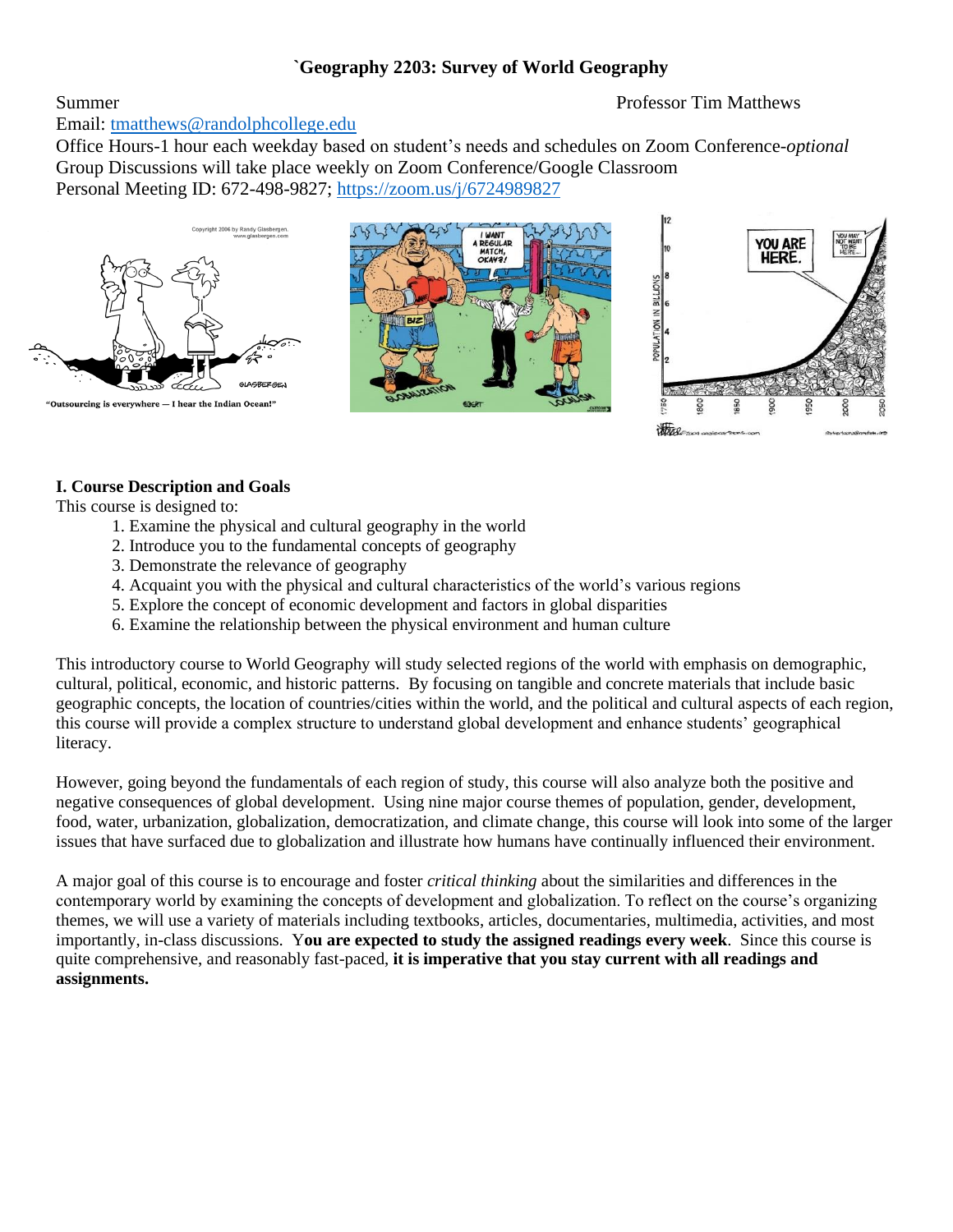# **`Geography 2203: Survey of World Geography**

# Summer **Summer** Professor Tim Matthews

Email: [tmatthews@randolphcollege.edu](mailto:tmatthews@randolphcollege.edu)

Office Hours-1 hour each weekday based on student's needs and schedules on Zoom Conference-*optional* Group Discussions will take place weekly on Zoom Conference/Google Classroom Personal Meeting ID: 672-498-9827;<https://zoom.us/j/6724989827>



## **I. Course Description and Goals**

This course is designed to:

- 1. Examine the physical and cultural geography in the world
- 2. Introduce you to the fundamental concepts of geography
- 3. Demonstrate the relevance of geography
- 4. Acquaint you with the physical and cultural characteristics of the world's various regions
- 5. Explore the concept of economic development and factors in global disparities
- 6. Examine the relationship between the physical environment and human culture

This introductory course to World Geography will study selected regions of the world with emphasis on demographic, cultural, political, economic, and historic patterns. By focusing on tangible and concrete materials that include basic geographic concepts, the location of countries/cities within the world, and the political and cultural aspects of each region, this course will provide a complex structure to understand global development and enhance students' geographical literacy.

However, going beyond the fundamentals of each region of study, this course will also analyze both the positive and negative consequences of global development. Using nine major course themes of population, gender, development, food, water, urbanization, globalization, democratization, and climate change, this course will look into some of the larger issues that have surfaced due to globalization and illustrate how humans have continually influenced their environment.

A major goal of this course is to encourage and foster *critical thinking* about the similarities and differences in the contemporary world by examining the concepts of development and globalization. To reflect on the course's organizing themes, we will use a variety of materials including textbooks, articles, documentaries, multimedia, activities, and most importantly, in-class discussions. Y**ou are expected to study the assigned readings every week**. Since this course is quite comprehensive, and reasonably fast-paced, **it is imperative that you stay current with all readings and assignments.**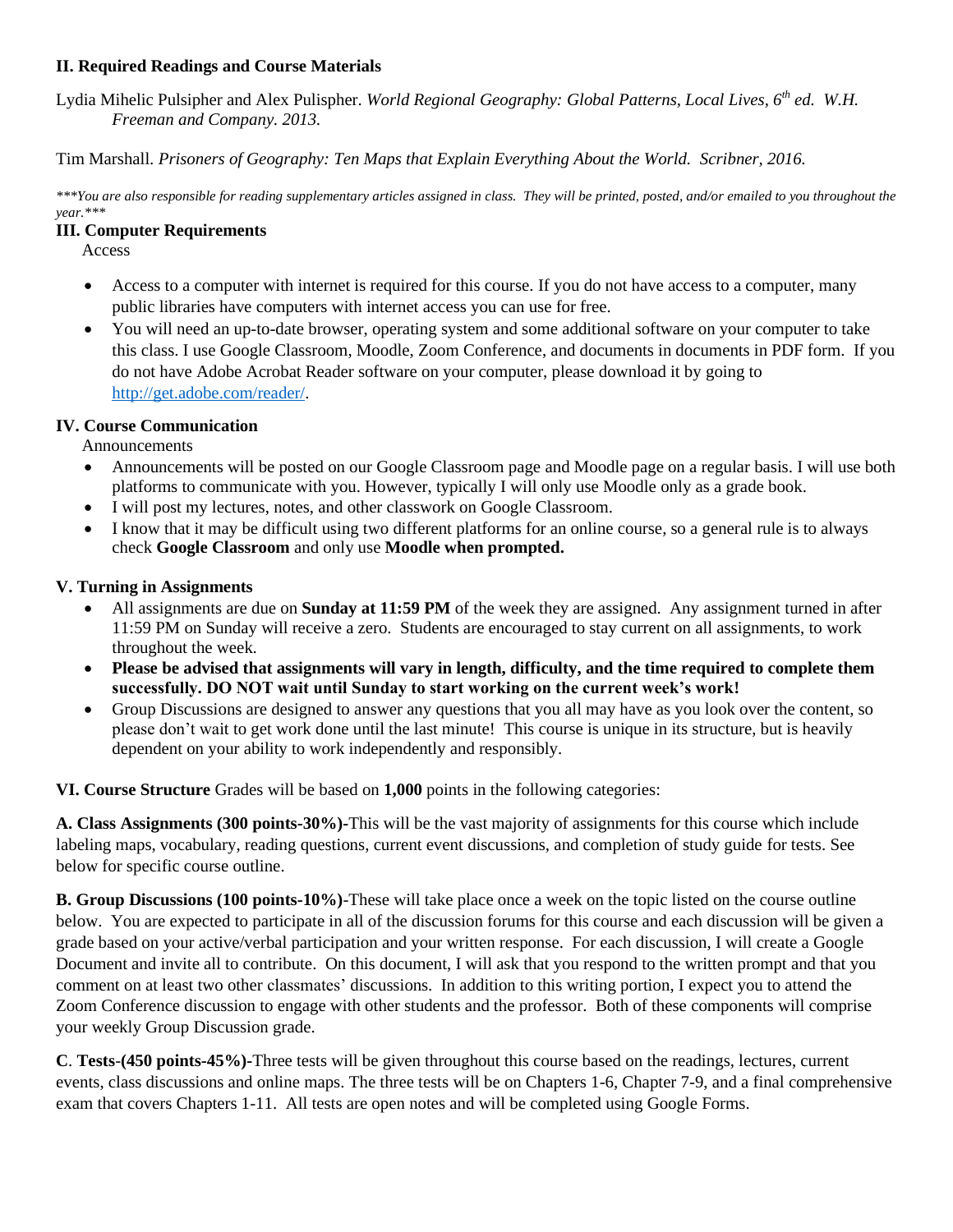# **II. Required Readings and Course Materials**

Lydia Mihelic Pulsipher and Alex Pulispher. *World Regional Geography: Global Patterns, Local Lives, 6th ed. W.H. Freeman and Company. 2013.* 

Tim Marshall. *Prisoners of Geography: Ten Maps that Explain Everything About the World. Scribner, 2016.* 

*\*\*\*You are also responsible for reading supplementary articles assigned in class. They will be printed, posted, and/or emailed to you throughout the year.\*\*\**

#### **III. Computer Requirements**

Access

- Access to a computer with internet is required for this course. If you do not have access to a computer, many public libraries have computers with internet access you can use for free.
- You will need an up-to-date browser, operating system and some additional software on your computer to take this class. I use Google Classroom, Moodle, Zoom Conference, and documents in documents in PDF form. If you do not have Adobe Acrobat Reader software on your computer, please download it by going to [http://get.adobe.com/reader/.](http://get.adobe.com/reader/)

#### **IV. Course Communication**

Announcements

- Announcements will be posted on our Google Classroom page and Moodle page on a regular basis. I will use both platforms to communicate with you. However, typically I will only use Moodle only as a grade book.
- I will post my lectures, notes, and other classwork on Google Classroom.
- I know that it may be difficult using two different platforms for an online course, so a general rule is to always check **Google Classroom** and only use **Moodle when prompted.**

#### **V. Turning in Assignments**

- All assignments are due on **Sunday at 11:59 PM** of the week they are assigned. Any assignment turned in after 11:59 PM on Sunday will receive a zero. Students are encouraged to stay current on all assignments, to work throughout the week.
- **Please be advised that assignments will vary in length, difficulty, and the time required to complete them successfully. DO NOT wait until Sunday to start working on the current week's work!**
- Group Discussions are designed to answer any questions that you all may have as you look over the content, so please don't wait to get work done until the last minute! This course is unique in its structure, but is heavily dependent on your ability to work independently and responsibly.

**VI. Course Structure** Grades will be based on **1,000** points in the following categories:

**A. Class Assignments (300 points-30%)-**This will be the vast majority of assignments for this course which include labeling maps, vocabulary, reading questions, current event discussions, and completion of study guide for tests. See below for specific course outline.

**B. Group Discussions (100 points-10%)**-These will take place once a week on the topic listed on the course outline below. You are expected to participate in all of the discussion forums for this course and each discussion will be given a grade based on your active/verbal participation and your written response. For each discussion, I will create a Google Document and invite all to contribute. On this document, I will ask that you respond to the written prompt and that you comment on at least two other classmates' discussions. In addition to this writing portion, I expect you to attend the Zoom Conference discussion to engage with other students and the professor. Both of these components will comprise your weekly Group Discussion grade.

**C**. **Tests**-**(450 points-45%)-**Three tests will be given throughout this course based on the readings, lectures, current events, class discussions and online maps. The three tests will be on Chapters 1-6, Chapter 7-9, and a final comprehensive exam that covers Chapters 1-11. All tests are open notes and will be completed using Google Forms.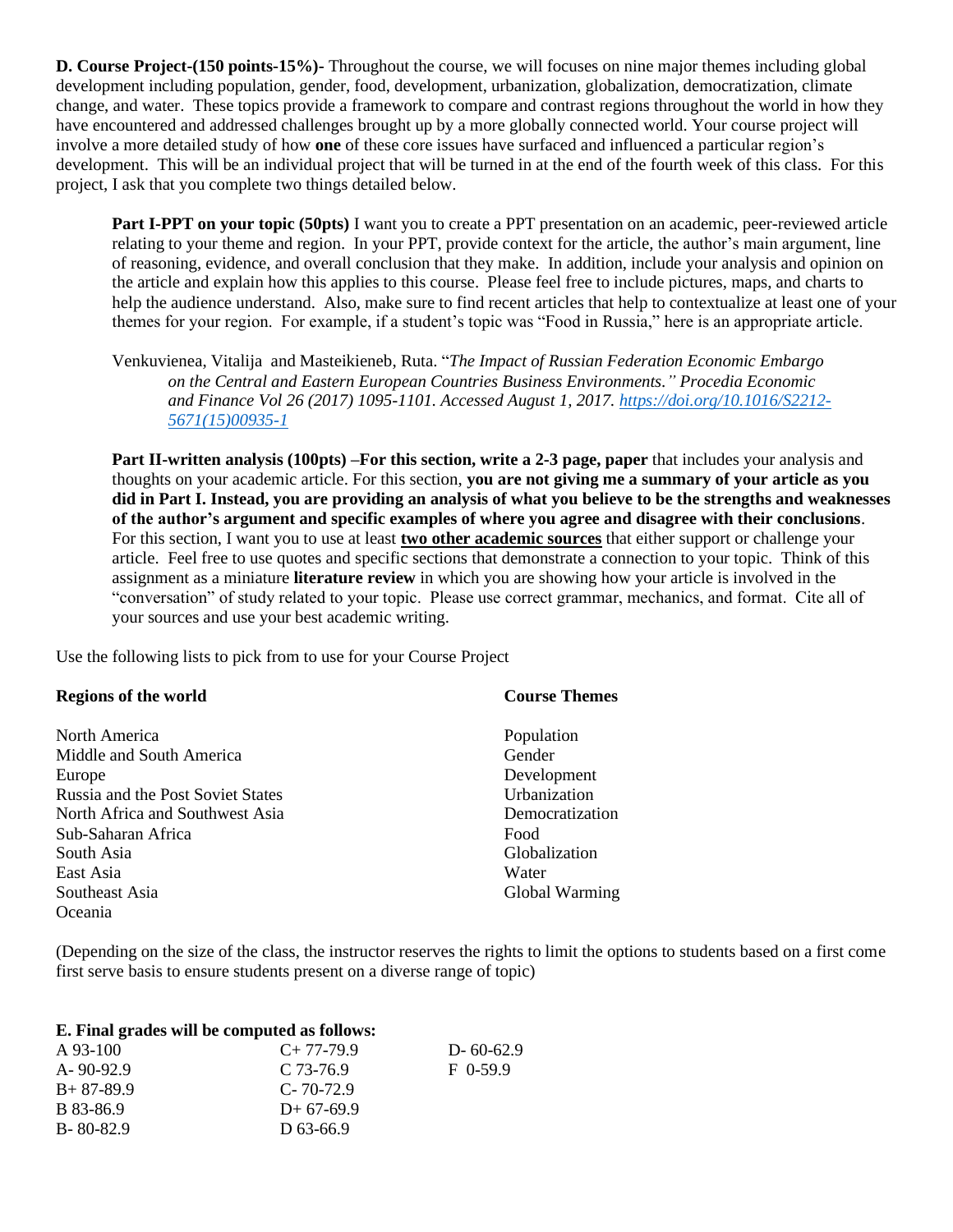**D. Course Project-(150 points-15%)-** Throughout the course, we will focuses on nine major themes including global development including population, gender, food, development, urbanization, globalization, democratization, climate change, and water. These topics provide a framework to compare and contrast regions throughout the world in how they have encountered and addressed challenges brought up by a more globally connected world. Your course project will involve a more detailed study of how **one** of these core issues have surfaced and influenced a particular region's development. This will be an individual project that will be turned in at the end of the fourth week of this class. For this project, I ask that you complete two things detailed below.

**Part I-PPT on your topic (50pts)** I want you to create a PPT presentation on an academic, peer-reviewed article relating to your theme and region. In your PPT, provide context for the article, the author's main argument, line of reasoning, evidence, and overall conclusion that they make. In addition, include your analysis and opinion on the article and explain how this applies to this course. Please feel free to include pictures, maps, and charts to help the audience understand. Also, make sure to find recent articles that help to contextualize at least one of your themes for your region. For example, if a student's topic was "Food in Russia," here is an appropriate article.

Venkuvienea, Vitalija and Masteikieneb, Ruta. "*The Impact of Russian Federation Economic Embargo on the Central and Eastern European Countries Business Environments." Procedia Economic and Finance Vol 26 (2017) 1095-1101. Accessed August 1, 2017. [https://doi.org/10.1016/S2212-](https://doi.org/10.1016/S2212-5671(15)00935-1) [5671\(15\)00935-1](https://doi.org/10.1016/S2212-5671(15)00935-1)*

**Part II-written analysis (100pts) –For this section, write a 2-3 page, paper** that includes your analysis and thoughts on your academic article. For this section, **you are not giving me a summary of your article as you did in Part I. Instead, you are providing an analysis of what you believe to be the strengths and weaknesses of the author's argument and specific examples of where you agree and disagree with their conclusions**. For this section, I want you to use at least **two other academic sources** that either support or challenge your article. Feel free to use quotes and specific sections that demonstrate a connection to your topic. Think of this assignment as a miniature **literature review** in which you are showing how your article is involved in the "conversation" of study related to your topic. Please use correct grammar, mechanics, and format. Cite all of your sources and use your best academic writing.

Use the following lists to pick from to use for your Course Project

| <b>Regions of the world</b>       | <b>Course Themes</b> |
|-----------------------------------|----------------------|
|                                   |                      |
| North America                     | Population           |
| Middle and South America          | Gender               |
| Europe                            | Development          |
| Russia and the Post Soviet States | Urbanization         |
| North Africa and Southwest Asia   | Democratization      |
| Sub-Saharan Africa                | Food                 |
| South Asia                        | Globalization        |
| East Asia                         | Water                |
| Southeast Asia                    | Global Warming       |
| Oceania                           |                      |

(Depending on the size of the class, the instructor reserves the rights to limit the options to students based on a first come first serve basis to ensure students present on a diverse range of topic)

|                  | E. Final grades will be computed as follows: |
|------------------|----------------------------------------------|
| $\Lambda$ 02.100 | $C_1$ , 77, 70, 0                            |

| A 93-100        | $C+77-79.9$     | $D - 60 - 62.9$ |
|-----------------|-----------------|-----------------|
| A-90-92.9       | $C$ 73-76.9     | $F$ 0-59.9      |
| $B+87-89.9$     | $C - 70 - 72.9$ |                 |
| B 83-86.9       | $D+67-69.9$     |                 |
| $B - 80 - 82.9$ | D 63-66.9       |                 |
|                 |                 |                 |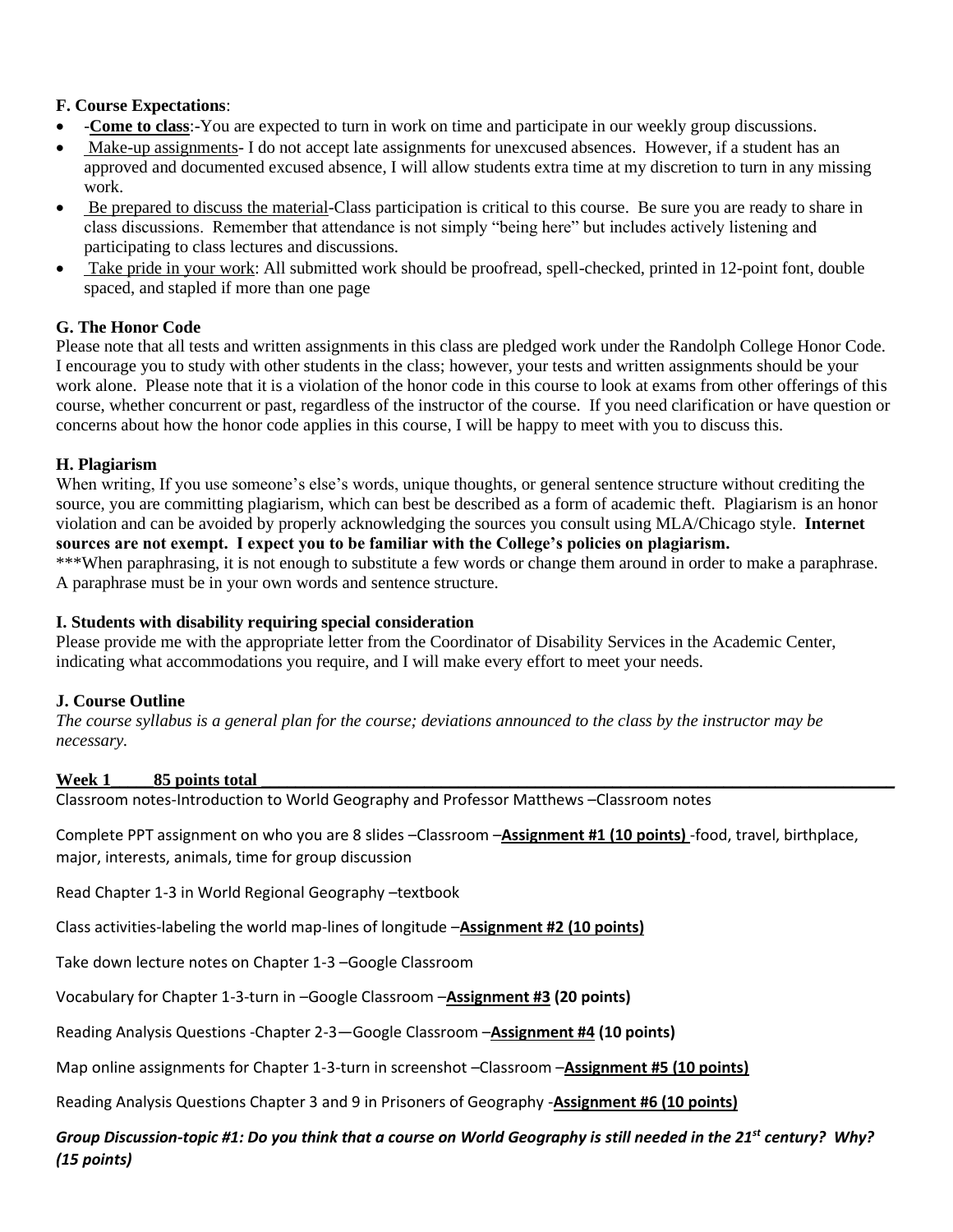# **F. Course Expectations**:

- -**Come to class**:-You are expected to turn in work on time and participate in our weekly group discussions.
- Make-up assignments- I do not accept late assignments for unexcused absences. However, if a student has an approved and documented excused absence, I will allow students extra time at my discretion to turn in any missing work.
- Be prepared to discuss the material-Class participation is critical to this course. Be sure you are ready to share in class discussions. Remember that attendance is not simply "being here" but includes actively listening and participating to class lectures and discussions.
- Take pride in your work: All submitted work should be proofread, spell-checked, printed in 12-point font, double spaced, and stapled if more than one page

## **G. The Honor Code**

Please note that all tests and written assignments in this class are pledged work under the Randolph College Honor Code. I encourage you to study with other students in the class; however, your tests and written assignments should be your work alone. Please note that it is a violation of the honor code in this course to look at exams from other offerings of this course, whether concurrent or past, regardless of the instructor of the course. If you need clarification or have question or concerns about how the honor code applies in this course, I will be happy to meet with you to discuss this.

## **H. Plagiarism**

When writing, If you use someone's else's words, unique thoughts, or general sentence structure without crediting the source, you are committing plagiarism, which can best be described as a form of academic theft. Plagiarism is an honor violation and can be avoided by properly acknowledging the sources you consult using MLA/Chicago style. **Internet sources are not exempt. I expect you to be familiar with the College's policies on plagiarism.** 

\*\*\*When paraphrasing, it is not enough to substitute a few words or change them around in order to make a paraphrase. A paraphrase must be in your own words and sentence structure.

#### **I. Students with disability requiring special consideration**

Please provide me with the appropriate letter from the Coordinator of Disability Services in the Academic Center, indicating what accommodations you require, and I will make every effort to meet your needs.

# **J. Course Outline**

*The course syllabus is a general plan for the course; deviations announced to the class by the instructor may be necessary.* 

#### Week 1 **85 points total Week 1**

Classroom notes-Introduction to World Geography and Professor Matthews –Classroom notes

Complete PPT assignment on who you are 8 slides –Classroom –**Assignment #1 (10 points)** -food, travel, birthplace, major, interests, animals, time for group discussion

Read Chapter 1-3 in World Regional Geography –textbook

Class activities-labeling the world map-lines of longitude –**Assignment #2 (10 points)** 

Take down lecture notes on Chapter 1-3 –Google Classroom

Vocabulary for Chapter 1-3-turn in –Google Classroom –**Assignment #3 (20 points)**

Reading Analysis Questions -Chapter 2-3—Google Classroom –**Assignment #4 (10 points)**

Map online assignments for Chapter 1-3-turn in screenshot –Classroom –**Assignment #5 (10 points)** 

Reading Analysis Questions Chapter 3 and 9 in Prisoners of Geography -**Assignment #6 (10 points)** 

*Group Discussion-topic #1: Do you think that a course on World Geography is still needed in the 21st century? Why? (15 points)*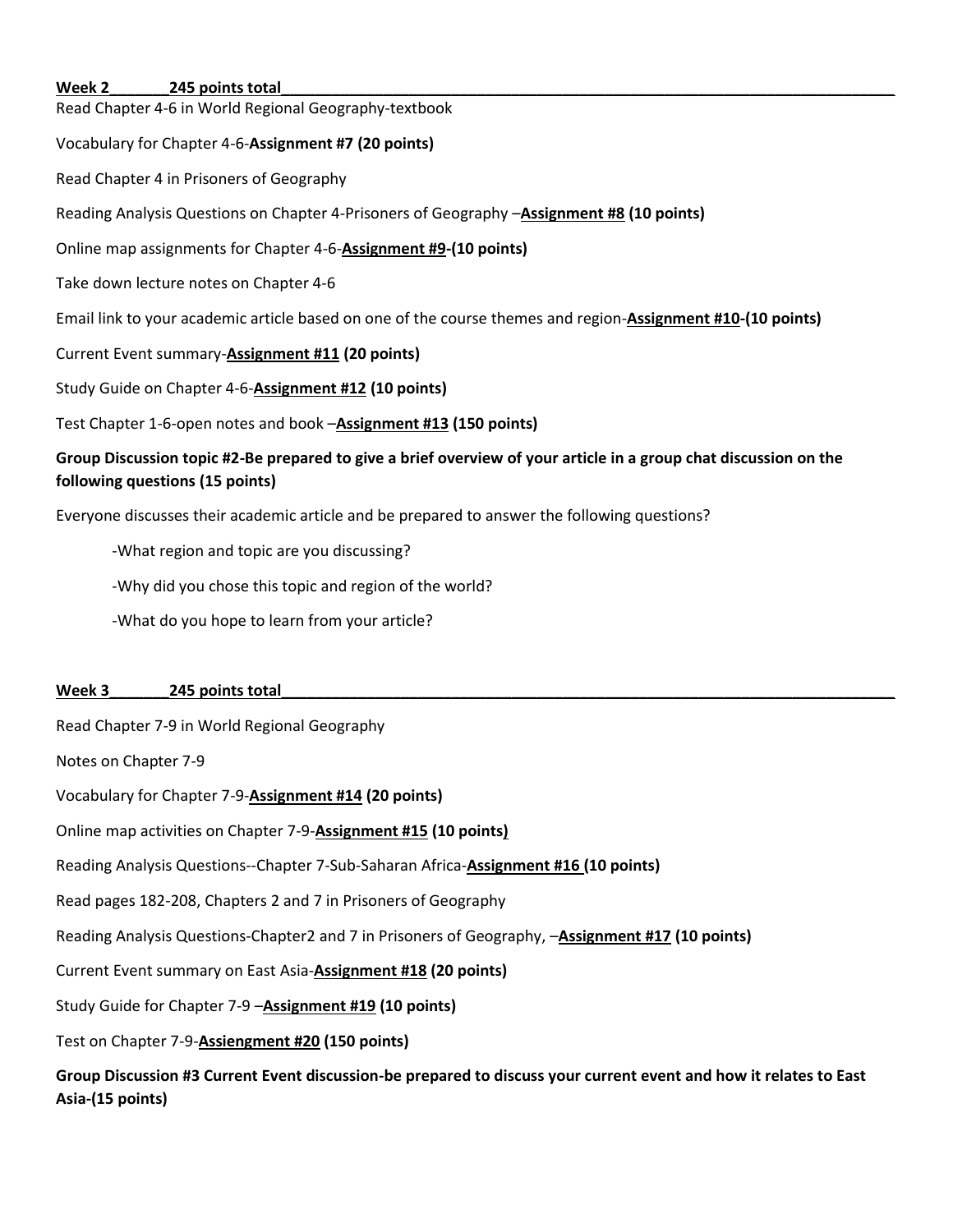#### Week 2 **245 points total**

Read Chapter 4-6 in World Regional Geography-textbook

#### Vocabulary for Chapter 4-6-**Assignment #7 (20 points)**

Read Chapter 4 in Prisoners of Geography

Reading Analysis Questions on Chapter 4-Prisoners of Geography –**Assignment #8 (10 points)**

Online map assignments for Chapter 4-6-**Assignment #9-(10 points)**

Take down lecture notes on Chapter 4-6

Email link to your academic article based on one of the course themes and region-**Assignment #10-(10 points)**

Current Event summary-**Assignment #11 (20 points)**

Study Guide on Chapter 4-6-**Assignment #12 (10 points)**

Test Chapter 1-6-open notes and book –**Assignment #13 (150 points)**

# **Group Discussion topic #2-Be prepared to give a brief overview of your article in a group chat discussion on the following questions (15 points)**

Everyone discusses their academic article and be prepared to answer the following questions?

-What region and topic are you discussing?

-Why did you chose this topic and region of the world?

-What do you hope to learn from your article?

#### Week 3 **245** points total

Read Chapter 7-9 in World Regional Geography

Notes on Chapter 7-9

Vocabulary for Chapter 7-9-**Assignment #14 (20 points)** 

Online map activities on Chapter 7-9-**Assignment #15 (10 points)** 

Reading Analysis Questions--Chapter 7-Sub-Saharan Africa-**Assignment #16 (10 points)**

Read pages 182-208, Chapters 2 and 7 in Prisoners of Geography

Reading Analysis Questions-Chapter2 and 7 in Prisoners of Geography, –**Assignment #17 (10 points)** 

Current Event summary on East Asia-**Assignment #18 (20 points)**

Study Guide for Chapter 7-9 –**Assignment #19 (10 points)** 

Test on Chapter 7-9-**Assiengment #20 (150 points)**

**Group Discussion #3 Current Event discussion-be prepared to discuss your current event and how it relates to East Asia-(15 points)**